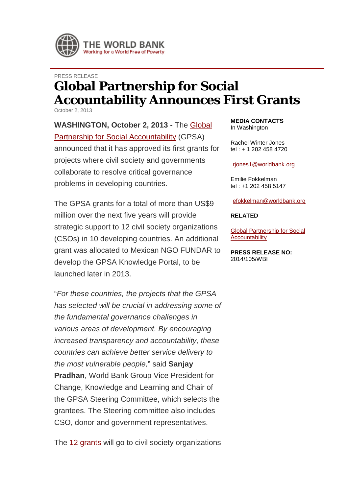

## PRESS RELEASE **Global Partnership for Social Accountability Announces First Grants**

October 2, 2013

**WASHINGTON, October 2, 2013 -** The [Global](http://www.worldbank.org/gpsa)  [Partnership for Social Accountability](http://www.worldbank.org/gpsa) (GPSA) announced that it has approved its first grants for projects where civil society and governments collaborate to resolve critical governance problems in developing countries.

The GPSA grants for a total of more than US\$9 million over the next five years will provide strategic support to 12 civil society organizations (CSOs) in 10 developing countries. An additional grant was allocated to Mexican NGO FUNDAR to develop the GPSA Knowledge Portal, to be launched later in 2013.

"*For these countries, the projects that the GPSA has selected will be crucial in addressing some of the fundamental governance challenges in various areas of development. By encouraging increased transparency and accountability, these countries can achieve better service delivery to the most vulnerable people,*" said **Sanjay Pradhan**, World Bank Group Vice President for Change, Knowledge and Learning and Chair of the GPSA Steering Committee, which selects the grantees. The Steering committee also includes CSO, donor and government representatives.

The [12 grants](http://siteresources.worldbank.org/CSO/Resources/228716-1369241545034/GPSA_Grantees-1st_Call_for_Proposals_2013.pdf) will go to civil society organizations

**MEDIA CONTACTS** In Washington

Rachel Winter Jones tel : + 1 202 458 4720

[rjones1@worldbank.org](mailto:rjones1@worldbank.org)

Emilie Fokkelman tel : +1 202 458 5147

[efokkelman@worldbank.org](mailto:efokkelman@worldbank.org)

## **RELATED**

[Global Partnership for Social](http://www.worldbank.org/gpsa)  **[Accountability](http://www.worldbank.org/gpsa)** 

**PRESS RELEASE NO:** 2014/105/WBI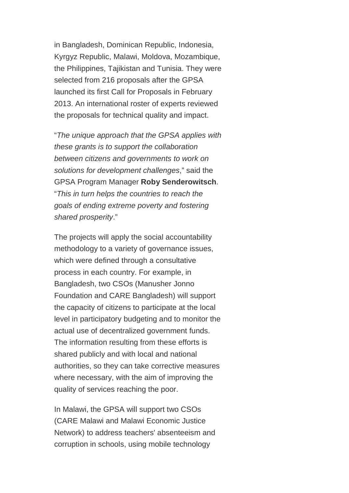in Bangladesh, Dominican Republic, Indonesia, Kyrgyz Republic, Malawi, Moldova, Mozambique, the Philippines, Tajikistan and Tunisia. They were selected from 216 proposals after the GPSA launched its first Call for Proposals in February 2013. An international roster of experts reviewed the proposals for technical quality and impact.

"*The unique approach that the GPSA applies with these grants is to support the collaboration between citizens and governments to work on solutions for development challenges*," said the GPSA Program Manager **Roby Senderowitsch**. "*This in turn helps the countries to reach the goals of ending extreme poverty and fostering shared prosperity*."

The projects will apply the social accountability methodology to a variety of governance issues, which were defined through a consultative process in each country. For example, in Bangladesh, two CSOs (Manusher Jonno Foundation and CARE Bangladesh) will support the capacity of citizens to participate at the local level in participatory budgeting and to monitor the actual use of decentralized government funds. The information resulting from these efforts is shared publicly and with local and national authorities, so they can take corrective measures where necessary, with the aim of improving the quality of services reaching the poor.

In Malawi, the GPSA will support two CSOs (CARE Malawi and Malawi Economic Justice Network) to address teachers' absenteeism and corruption in schools, using mobile technology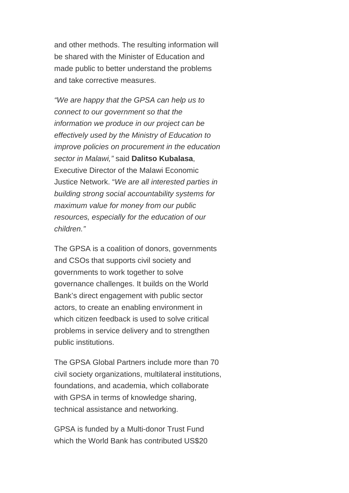and other methods. The resulting information will be shared with the Minister of Education and made public to better understand the problems and take corrective measures.

*"We are happy that the GPSA can help us to connect to our government so that the information we produce in our project can be effectively used by the Ministry of Education to improve policies on procurement in the education sector in Malawi,"* said **Dalitso Kubalasa**, Executive Director of the Malawi Economic Justice Network. "*We are all interested parties in building strong social accountability systems for maximum value for money from our public resources, especially for the education of our children."*

The GPSA is a coalition of donors, governments and CSOs that supports civil society and governments to work together to solve governance challenges. It builds on the World Bank's direct engagement with public sector actors, to create an enabling environment in which citizen feedback is used to solve critical problems in service delivery and to strengthen public institutions.

The GPSA Global Partners include more than 70 civil society organizations, multilateral institutions, foundations, and academia, which collaborate with GPSA in terms of knowledge sharing, technical assistance and networking.

GPSA is funded by a Multi-donor Trust Fund which the World Bank has contributed US\$20